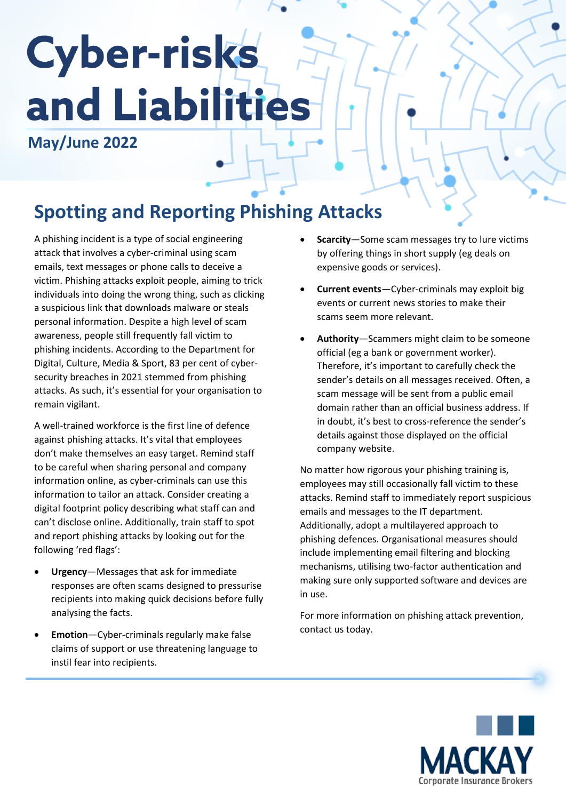## **Cyber-risks** and Liabilities

**May/June 2022**

## **Spotting and Reporting Phishing Attacks**

A phishing incident is a type of social engineering attack that involves a cyber-criminal using scam emails, text messages or phone calls to deceive a victim. Phishing attacks exploit people, aiming to trick individuals into doing the wrong thing, such as clicking a suspicious link that downloads malware or steals personal information. Despite a high level of scam awareness, people still frequently fall victim to phishing incidents. According to the Department for Digital, Culture, Media & Sport, 83 per cent of cybersecurity breaches in 2021 stemmed from phishing attacks. As such, it's essential for your organisation to remain vigilant.

A well-trained workforce is the first line of defence against phishing attacks. It's vital that employees don't make themselves an easy target. Remind staff to be careful when sharing personal and company information online, as cyber-criminals can use this information to tailor an attack. Consider creating a digital footprint policy describing what staff can and can't disclose online. Additionally, train staff to spot and report phishing attacks by looking out for the following 'red flags':

- **Urgency**—Messages that ask for immediate responses are often scams designed to pressurise recipients into making quick decisions before fully analysing the facts.
- **Emotion**—Cyber-criminals regularly make false claims of support or use threatening language to instil fear into recipients.
- **Scarcity**—Some scam messages try to lure victims by offering things in short supply (eg deals on expensive goods or services).
- **Current events**—Cyber-criminals may exploit big events or current news stories to make their scams seem more relevant.
- **Authority**—Scammers might claim to be someone official (eg a bank or government worker). Therefore, it's important to carefully check the sender's details on all messages received. Often, a scam message will be sent from a public email domain rather than an official business address. If in doubt, it's best to cross-reference the sender's details against those displayed on the official company website.

No matter how rigorous your phishing training is, employees may still occasionally fall victim to these attacks. Remind staff to immediately report suspicious emails and messages to the IT department. Additionally, adopt a multilayered approach to phishing defences. Organisational measures should include implementing email filtering and blocking mechanisms, utilising two-factor authentication and making sure only supported software and devices are in use.

For more information on phishing attack prevention, contact us today.